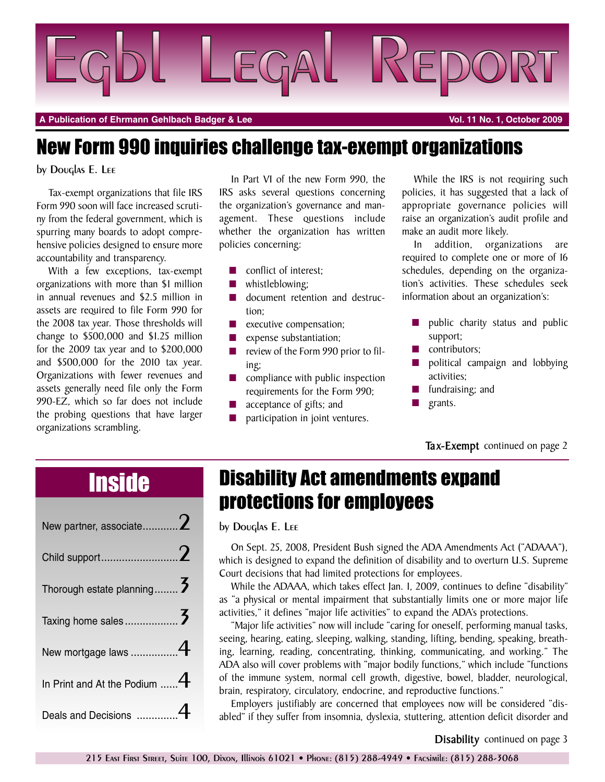

**A Publication of Ehrmann Gehlbach Badger & Lee Vol. 11 No. 1, October 2009**

### New Form 990 inquiries challenge tax-exempt organizations

#### by Douglas E. Lee

Tax-exempt organizations that file IRS Form 990 soon will face increased scrutiny from the federal government, which is spurring many boards to adopt comprehensive policies designed to ensure more accountability and transparency.

With a few exceptions, tax-exempt organizations with more than \$1 million in annual revenues and \$2.5 million in assets are required to file Form 990 for the 2008 tax year. Those thresholds will change to \$500,000 and \$1.25 million for the 2009 tax year and to \$200,000 and \$500,000 for the 2010 tax year. Organizations with fewer revenues and assets generally need file only the Form 990-EZ, which so far does not include the probing questions that have larger organizations scrambling.

In Part VI of the new Form 990, the IRS asks several questions concerning the organization's governance and management. These questions include whether the organization has written policies concerning:

- conflict of interest;
- **■** whistleblowing;
- document retention and destruction;
- **■** executive compensation;
- expense substantiation;
- **■** review of the Form 990 prior to filing;
- **■** compliance with public inspection requirements for the Form 990;
- **■** acceptance of gifts; and
- participation in joint ventures.

While the IRS is not requiring such policies, it has suggested that a lack of appropriate governance policies will raise an organization's audit profile and make an audit more likely.

In addition, organizations are required to complete one or more of 16 schedules, depending on the organization's activities. These schedules seek information about an organization's:

- public charity status and public support;
- contributors;
- **■** political campaign and lobbying activities;
- **■** fundraising; and
- **■** grants.

#### **Tax-Exempt** continued on page 2

| New partner, associate $2$        |  |
|-----------------------------------|--|
| Child support2                    |  |
| Thorough estate planning 3        |  |
|                                   |  |
| New mortgage laws 4               |  |
| In Print and At the Podium $$ $4$ |  |
| Deals and Decisions 4             |  |

## Inside Disability Act amendments expand protections for employees

by Douglas E. Lee

On Sept. 25, 2008, President Bush signed the ADA Amendments Act ("ADAAA"), which is designed to expand the definition of disability and to overturn U.S. Supreme Court decisions that had limited protections for employees.

While the ADAAA, which takes effect Jan. 1, 2009, continues to define "disability" as "a physical or mental impairment that substantially limits one or more major life activities," it defines "major life activities" to expand the ADA's protections.

"Major life activities" now will include "caring for oneself, performing manual tasks, seeing, hearing, eating, sleeping, walking, standing, lifting, bending, speaking, breathing, learning, reading, concentrating, thinking, communicating, and working." The ADA also will cover problems with "major bodily functions," which include "functions of the immune system, normal cell growth, digestive, bowel, bladder, neurological, brain, respiratory, circulatory, endocrine, and reproductive functions."

Employers justifiably are concerned that employees now will be considered "disabled" if they suffer from insomnia, dyslexia, stuttering, attention deficit disorder and

**Disability** continued on page 3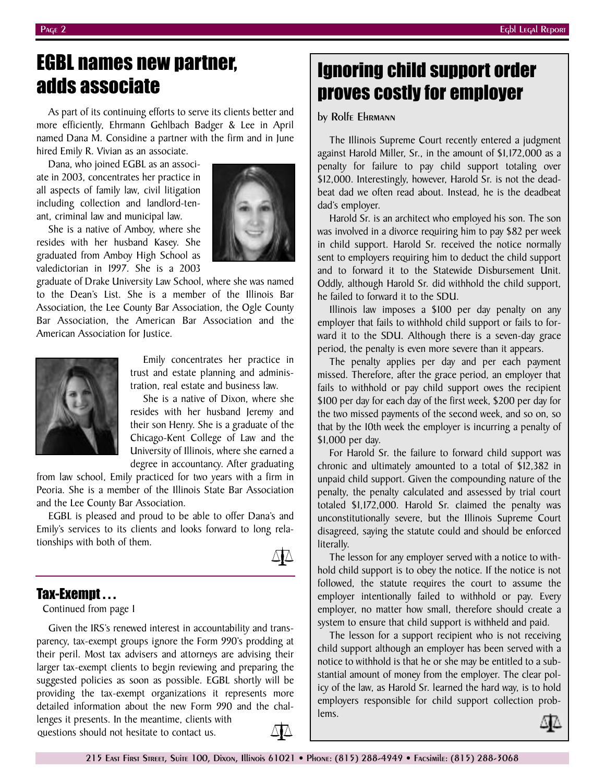## EGBL names new partner, adds associate

As part of its continuing efforts to serve its clients better and more efficiently, Ehrmann Gehlbach Badger & Lee in April named Dana M. Considine a partner with the firm and in June hired Emily R. Vivian as an associate.

Dana, who joined EGBL as an associate in 2003, concentrates her practice in all aspects of family law, civil litigation including collection and landlord-tenant, criminal law and municipal law.

She is a native of Amboy, where she resides with her husband Kasey. She graduated from Amboy High School as valedictorian in 1997. She is a 2003

graduate of Drake University Law School, where she was named to the Dean's List. She is a member of the Illinois Bar Association, the Lee County Bar Association, the Ogle County Bar Association, the American Bar Association and the American Association for Justice.



Emily concentrates her practice in trust and estate planning and administration, real estate and business law.

She is a native of Dixon, where she resides with her husband Jeremy and their son Henry. She is a graduate of the Chicago-Kent College of Law and the University of Illinois, where she earned a degree in accountancy. After graduating

from law school, Emily practiced for two years with a firm in Peoria. She is a member of the Illinois State Bar Association and the Lee County Bar Association.

EGBL is pleased and proud to be able to offer Dana's and Emily's services to its clients and looks forward to long relationships with both of them.



### Tax-Exempt . . .

Continued from page 1

Given the IRS's renewed interest in accountability and transparency, tax-exempt groups ignore the Form 990's prodding at their peril. Most tax advisers and attorneys are advising their larger tax-exempt clients to begin reviewing and preparing the suggested policies as soon as possible. EGBL shortly will be providing the tax-exempt organizations it represents more detailed information about the new Form 990 and the challenges it presents. In the meantime, clients with

questions should not hesitate to contact us.



## Ignoring child support order proves costly for employer

by Rolfe Ehrmann

The Illinois Supreme Court recently entered a judgment against Harold Miller, Sr., in the amount of \$1,172,000 as a penalty for failure to pay child support totaling over \$12,000. Interestingly, however, Harold Sr. is not the deadbeat dad we often read about. Instead, he is the deadbeat dad's employer.

Harold Sr. is an architect who employed his son. The son was involved in a divorce requiring him to pay \$82 per week in child support. Harold Sr. received the notice normally sent to employers requiring him to deduct the child support and to forward it to the Statewide Disbursement Unit. Oddly, although Harold Sr. did withhold the child support, he failed to forward it to the SDU.

Illinois law imposes a \$100 per day penalty on any employer that fails to withhold child support or fails to forward it to the SDU. Although there is a seven-day grace period, the penalty is even more severe than it appears.

The penalty applies per day and per each payment missed. Therefore, after the grace period, an employer that fails to withhold or pay child support owes the recipient \$100 per day for each day of the first week, \$200 per day for the two missed payments of the second week, and so on, so that by the 10th week the employer is incurring a penalty of \$1,000 per day.

For Harold Sr. the failure to forward child support was chronic and ultimately amounted to a total of \$12,382 in unpaid child support. Given the compounding nature of the penalty, the penalty calculated and assessed by trial court totaled \$1,172,000. Harold Sr. claimed the penalty was unconstitutionally severe, but the Illinois Supreme Court disagreed, saying the statute could and should be enforced literally.

The lesson for any employer served with a notice to withhold child support is to obey the notice. If the notice is not followed, the statute requires the court to assume the employer intentionally failed to withhold or pay. Every employer, no matter how small, therefore should create a system to ensure that child support is withheld and paid.

The lesson for a support recipient who is not receiving child support although an employer has been served with a notice to withhold is that he or she may be entitled to a substantial amount of money from the employer. The clear policy of the law, as Harold Sr. learned the hard way, is to hold employers responsible for child support collection problems.

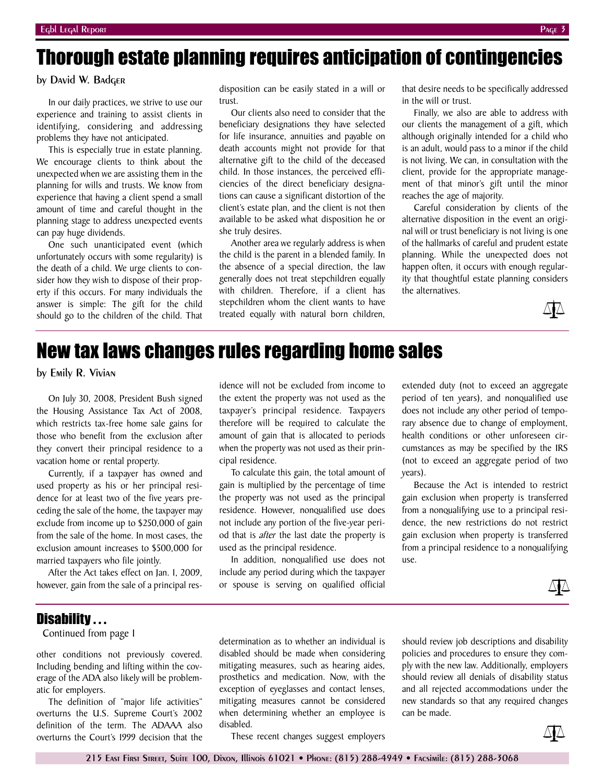# Thorough estate planning requires anticipation of contingencies

#### by David W. Badger

In our daily practices, we strive to use our experience and training to assist clients in identifying, considering and addressing problems they have not anticipated.

This is especially true in estate planning. We encourage clients to think about the unexpected when we are assisting them in the planning for wills and trusts. We know from experience that having a client spend a small amount of time and careful thought in the planning stage to address unexpected events can pay huge dividends.

One such unanticipated event (which unfortunately occurs with some regularity) is the death of a child. We urge clients to consider how they wish to dispose of their property if this occurs. For many individuals the answer is simple: The gift for the child should go to the children of the child. That

disposition can be easily stated in a will or trust.

Our clients also need to consider that the beneficiary designations they have selected for life insurance, annuities and payable on death accounts might not provide for that alternative gift to the child of the deceased child. In those instances, the perceived efficiencies of the direct beneficiary designations can cause a significant distortion of the client's estate plan, and the client is not then available to be asked what disposition he or she truly desires.

Another area we regularly address is when the child is the parent in a blended family. In the absence of a special direction, the law generally does not treat stepchildren equally with children. Therefore, if a client has stepchildren whom the client wants to have treated equally with natural born children,

that desire needs to be specifically addressed in the will or trust.

Finally, we also are able to address with our clients the management of a gift, which although originally intended for a child who is an adult, would pass to a minor if the child is not living. We can, in consultation with the client, provide for the appropriate management of that minor's gift until the minor reaches the age of majority.

Careful consideration by clients of the alternative disposition in the event an original will or trust beneficiary is not living is one of the hallmarks of careful and prudent estate planning. While the unexpected does not happen often, it occurs with enough regularity that thoughtful estate planning considers the alternatives.



## New tax laws changes rules regarding home sales

by Emily R. Vivian

On July 30, 2008, President Bush signed the Housing Assistance Tax Act of 2008, which restricts tax-free home sale gains for those who benefit from the exclusion after they convert their principal residence to a vacation home or rental property.

Currently, if a taxpayer has owned and used property as his or her principal residence for at least two of the five years preceding the sale of the home, the taxpayer may exclude from income up to \$250,000 of gain from the sale of the home. In most cases, the exclusion amount increases to \$500,000 for married taxpayers who file jointly.

After the Act takes effect on Jan. 1, 2009, however, gain from the sale of a principal res-

idence will not be excluded from income to the extent the property was not used as the taxpayer's principal residence. Taxpayers therefore will be required to calculate the amount of gain that is allocated to periods when the property was not used as their principal residence.

To calculate this gain, the total amount of gain is multiplied by the percentage of time the property was not used as the principal residence. However, nonqualified use does not include any portion of the five-year period that is *after* the last date the property is used as the principal residence.

In addition, nonqualified use does not include any period during which the taxpayer or spouse is serving on qualified official

extended duty (not to exceed an aggregate period of ten years), and nonqualified use does not include any other period of temporary absence due to change of employment, health conditions or other unforeseen circumstances as may be specified by the IRS (not to exceed an aggregate period of two years).

Because the Act is intended to restrict gain exclusion when property is transferred from a nonqualifying use to a principal residence, the new restrictions do not restrict gain exclusion when property is transferred from a principal residence to a nonqualifying use.



#### Disability . . .

Continued from page 1

other conditions not previously covered. Including bending and lifting within the coverage of the ADA also likely will be problematic for employers.

The definition of "major life activities" overturns the U.S. Supreme Court's 2002 definition of the term. The ADAAA also overturns the Court's 1999 decision that the

determination as to whether an individual is disabled should be made when considering mitigating measures, such as hearing aides, prosthetics and medication. Now, with the exception of eyeglasses and contact lenses, mitigating measures cannot be considered when determining whether an employee is disabled.

These recent changes suggest employers

should review job descriptions and disability policies and procedures to ensure they comply with the new law. Additionally, employers should review all denials of disability status and all rejected accommodations under the new standards so that any required changes can be made.